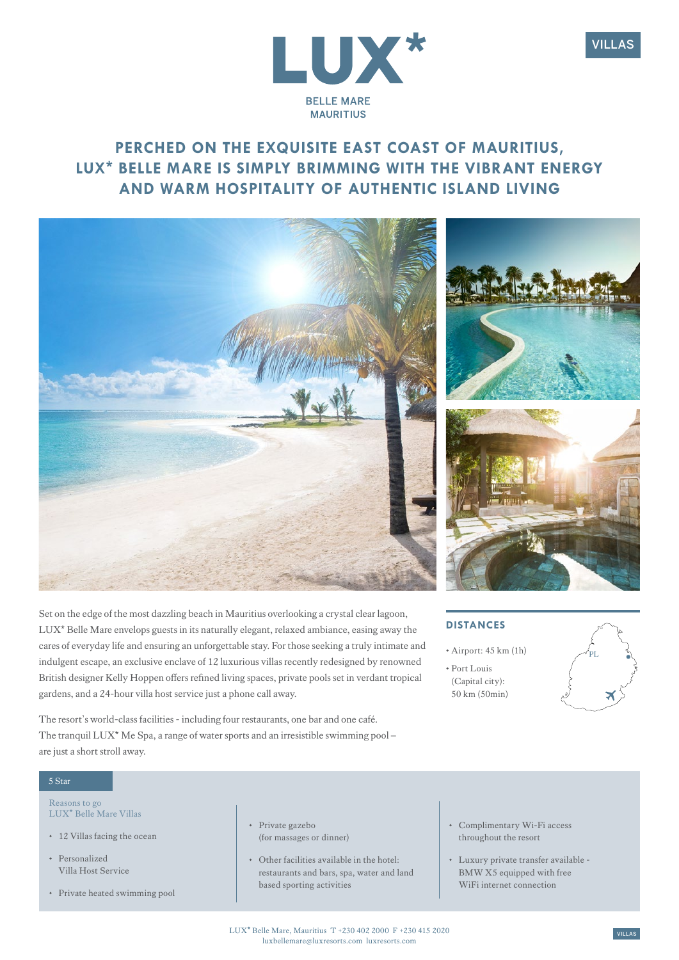



# **PERCHED ON THE EXQUISITE EAST COAST OF MAURITIUS, LUX\* BELLE MARE IS SIMPLY BRIMMING WITH THE VIBRANT ENERGY AND WARM HOSPITALITY OF AUTHENTIC ISLAND LIVING**



Set on the edge of the most dazzling beach in Mauritius overlooking a crystal clear lagoon, LUX\* Belle Mare envelops guests in its naturally elegant, relaxed ambiance, easing away the cares of everyday life and ensuring an unforgettable stay. For those seeking a truly intimate and indulgent escape, an exclusive enclave of 12 luxurious villas recently redesigned by renowned British designer Kelly Hoppen offers refined living spaces, private pools set in verdant tropical gardens, and a 24-hour villa host service just a phone call away.

The resort's world-class facilities - including four restaurants, one bar and one café. The tranquil LUX\* Me Spa, a range of water sports and an irresistible swimming pool – are just a short stroll away.

#### 5 Star

Reasons to go LUX\* Belle Mare Villas

- 12 Villas facing the ocean
- Personalized Villa Host Service
- Private heated swimming pool
- Private gazebo (for massages or dinner)
- Other facilities available in the hotel: restaurants and bars, spa, water and land based sporting activities
- Complimentary Wi-Fi access throughout the resort
- Luxury private transfer available BMW X5 equipped with free WiFi internet connection





### DISTANCES

- Airport: 45 km (1h)
- Port Louis (Capital city): 50 km (50min)

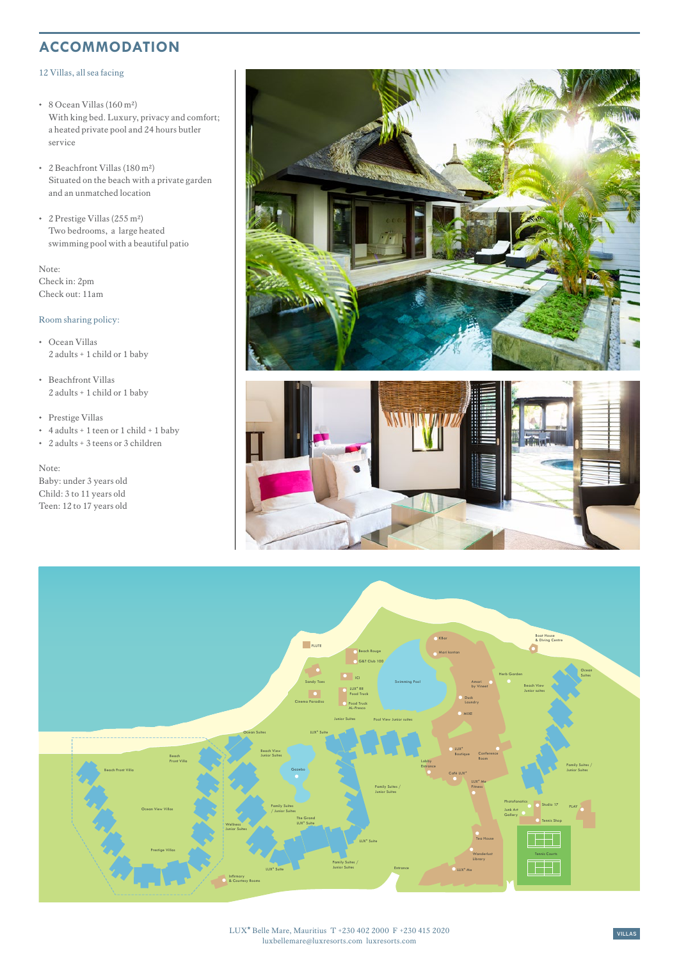### **ACCOMMODATION**

#### 12 Villas, all sea facing

- 8 Ocean Villas (160 m²) With king bed. Luxury, privacy and comfort; a heated private pool and 24 hours butler service
- 2 Beachfront Villas (180 m²) Situated on the beach with a private garden and an unmatched location
- 2 Prestige Villas (255 m²) Two bedrooms, a large heated swimming pool with a beautiful patio

Note: Check in: 2pm Check out: 11am

#### Room sharing policy:

- Ocean Villas 2 adults + 1 child or 1 baby
- Beachfront Villas 2 adults + 1 child or 1 baby
- Prestige Villas
- 4 adults + 1 teen or 1 child + 1 baby
- 2 adults + 3 teens or 3 children

Note: Baby: under 3 years old Child: 3 to 11 years old Teen: 12 to 17 years old





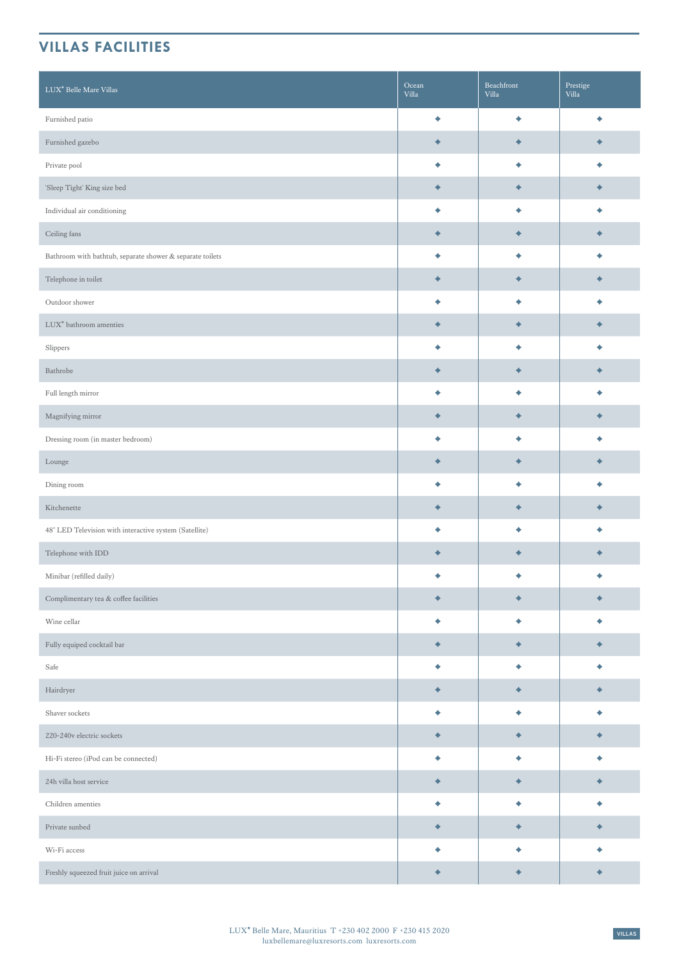## **VILLAS FACILITIES**

| LUX <sup>*</sup> Belle Mare Villas                        | Ocean<br>Villa | Beachfront<br>Villa | Prestige<br>Villa |
|-----------------------------------------------------------|----------------|---------------------|-------------------|
| Furnished patio                                           | ٠              | ٠                   | ٠                 |
| Furnished gazebo                                          | ۰              | ۰                   | ۰                 |
| Private pool                                              | ٠              | ٠                   |                   |
| 'Sleep Tight' King size bed                               | ۰              | ٠                   |                   |
| Individual air conditioning                               | ٠              | ۰                   | ٠                 |
| Ceiling fans                                              | ۰              | $\blacklozenge$     | ۰                 |
| Bathroom with bathtub, separate shower & separate toilets | ٠              | ٠                   | ٠                 |
| Telephone in toilet                                       | ۰              | ٠                   |                   |
| Outdoor shower                                            | ٠              | ٠                   |                   |
| LUX <sup>*</sup> bathroom amenties                        | ٠              | ٠                   |                   |
| Slippers                                                  | ٠              | ٠                   | ٠                 |
| Bathrobe                                                  | ۰              | ۰                   |                   |
| Full length mirror                                        | ٠              | ٠                   | ٠                 |
| Magnifying mirror                                         | ۰              | $\blacklozenge$     |                   |
| Dressing room (in master bedroom)                         | ٠              | ٠                   |                   |
| Lounge                                                    | ۰              | ٠                   |                   |
| Dining room                                               | ٠              | ٠                   | ٠                 |
| Kitchenette                                               | ۰              | ۰                   | ۰                 |
| 48" LED Television with interactive system (Satellite)    | ٠              | ٠                   | ٠                 |
| Telephone with IDD                                        | ۰              | ۰                   |                   |
| Minibar (refilled daily)                                  |                |                     |                   |
| Complimentary tea $\&$ coffee facilities                  | ۰              | ۰                   | ۰                 |
| Wine cellar                                               | ٠              | ٠                   | ٠                 |
| Fully equiped cocktail bar                                | ۰              | $\blacklozenge$     | ۰                 |
| Safe                                                      | ٠              | ۰                   | ٠                 |
| Hairdryer                                                 | ۰              | ۰                   | $\blacklozenge$   |
| Shaver sockets                                            | ٠              | ۰                   | ٠                 |
| 220-240v electric sockets                                 | ۰              | ۰                   |                   |
| Hi-Fi stereo (iPod can be connected)                      | ٠              | ٠                   | ٠                 |
| 24h villa host service                                    | ۰              | ۰                   | ٠                 |
| Children amenties                                         | ٠              | ٠                   | ٠                 |
| Private sunbed                                            | ۰              | $\blacklozenge$     | $\blacklozenge$   |
| Wi-Fi access                                              | ٠              | ٠                   | ٠                 |
| Freshly squeezed fruit juice on arrival                   | ۰              | ۰                   | ۰                 |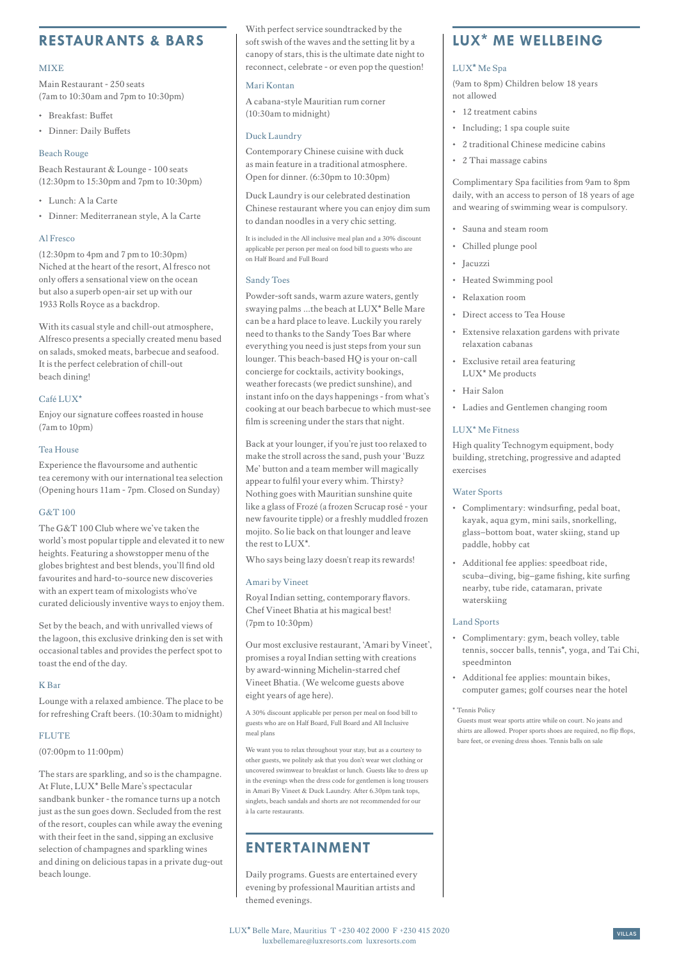### **RESTAURANTS & BARS**

#### **MIXE**

Main Restaurant - 250 seats (7am to 10:30am and 7pm to 10:30pm)

- Breakfast: Buffet
- Dinner: Daily Buffets

#### Beach Rouge

Beach Restaurant & Lounge - 100 seats (12:30pm to 15:30pm and 7pm to 10:30pm)

- Lunch: A la Carte
- Dinner: Mediterranean style, A la Carte

#### Al Fresco

(12:30pm to 4pm and 7 pm to 10:30pm) Niched at the heart of the resort, Al fresco not only offers a sensational view on the ocean but also a superb open-air set up with our 1933 Rolls Royce as a backdrop.

With its casual style and chill-out atmosphere, Alfresco presents a specially created menu based on salads, smoked meats, barbecue and seafood. It is the perfect celebration of chill-out beach dining!

#### Café LUX\*

Enjoy our signature coffees roasted in house (7am to 10pm)

#### Tea House

Experience the flavoursome and authentic tea ceremony with our international tea selection (Opening hours 11am - 7pm. Closed on Sunday)

#### G&T 100

The G&T 100 Club where we've taken the world's most popular tipple and elevated it to new heights. Featuring a showstopper menu of the globes brightest and best blends, you'll find old favourites and hard-to-source new discoveries with an expert team of mixologists who've curated deliciously inventive ways to enjoy them.

Set by the beach, and with unrivalled views of the lagoon, this exclusive drinking den is set with occasional tables and provides the perfect spot to toast the end of the day.

#### K Bar

Lounge with a relaxed ambience. The place to be for refreshing Craft beers. (10:30am to midnight)

#### **FLUTE**

(07:00pm to 11:00pm)

The stars are sparkling, and so is the champagne. At Flute, LUX\* Belle Mare's spectacular sandbank bunker - the romance turns up a notch just as the sun goes down. Secluded from the rest of the resort, couples can while away the evening with their feet in the sand, sipping an exclusive selection of champagnes and sparkling wines and dining on delicious tapas in a private dug-out beach lounge.

With perfect service soundtracked by the soft swish of the waves and the setting lit by a canopy of stars, this is the ultimate date night to reconnect, celebrate - or even pop the question!

#### Mari Kontan

A cabana-style Mauritian rum corner (10:30am to midnight)

#### Duck Laundry

Contemporary Chinese cuisine with duck as main feature in a traditional atmosphere. Open for dinner. (6:30pm to 10:30pm)

Duck Laundry is our celebrated destination Chinese restaurant where you can enjoy dim sum to dandan noodles in a very chic setting.

It is included in the All inclusive meal plan and a 30% discount applicable per person per meal on food bill to guests who are on Half Board and Full Board

#### Sandy Toes

Powder-soft sands, warm azure waters, gently swaying palms …the beach at LUX\* Belle Mare can be a hard place to leave. Luckily you rarely need to thanks to the Sandy Toes Bar where everything you need is just steps from your sun lounger. This beach-based HQ is your on-call concierge for cocktails, activity bookings, weather forecasts (we predict sunshine), and instant info on the days happenings - from what's cooking at our beach barbecue to which must-see film is screening under the stars that night.

Back at your lounger, if you're just too relaxed to make the stroll across the sand, push your 'Buzz Me' button and a team member will magically appear to fulfil your every whim. Thirsty? Nothing goes with Mauritian sunshine quite like a glass of Frozé (a frozen Scrucap rosé - your new favourite tipple) or a freshly muddled frozen mojito. So lie back on that lounger and leave the rest to LUX\*.

Who says being lazy doesn't reap its rewards!

#### Amari by Vineet

Royal Indian setting, contemporary flavors. Chef Vineet Bhatia at his magical best! (7pm to 10:30pm)

Our most exclusive restaurant, 'Amari by Vineet', promises a royal Indian setting with creations by award-winning Michelin-starred chef Vineet Bhatia. (We welcome guests above eight years of age here).

A 30% discount applicable per person per meal on food bill to guests who are on Half Board, Full Board and All Inclusive meal plans

We want you to relax throughout your stay, but as a courtesy to other guests, we politely ask that you don't wear wet clothing or uncovered swimwear to breakfast or lunch. Guests like to dress up in the evenings when the dress code for gentlemen is long trousers in Amari By Vineet & Duck Laundry. After 6.30pm tank tops, singlets, beach sandals and shorts are not recommended for our à la carte restaurants.

## **ENTERTAINMENT**

Daily programs. Guests are entertained every evening by professional Mauritian artists and themed evenings.

### **LUX\* ME WELLBEING**

#### LUX**\*** Me Spa

(9am to 8pm) Children below 18 years not allowed

- 12 treatment cabins
- Including; 1 spa couple suite
- 2 traditional Chinese medicine cabins
- 2 Thai massage cabins

Complimentary Spa facilities from 9am to 8pm daily, with an access to person of 18 years of age and wearing of swimming wear is compulsory.

- Sauna and steam room
- Chilled plunge pool
- Jacuzzi
- Heated Swimming pool
- Relaxation room
- Direct access to Tea House
- Extensive relaxation gardens with private relaxation cabanas
- Exclusive retail area featuring LUX\* Me products
- Hair Salon
- Ladies and Gentlemen changing room

#### LUX\* Me Fitness

High quality Technogym equipment, body building, stretching, progressive and adapted exercises

#### Water Sports

- Complimentary: windsurfing, pedal boat, kayak, aqua gym, mini sails, snorkelling, glass–bottom boat, water skiing, stand up paddle, hobby cat
- Additional fee applies: speedboat ride, scuba–diving, big–game fishing, kite surfing nearby, tube ride, catamaran, private waterskiing

#### Land Sports

- Complimentary: gym, beach volley, table tennis, soccer balls, tennis\*, yoga, and Tai Chi, speedminton
- Additional fee applies: mountain bikes, computer games; golf courses near the hotel

#### \* Tennis Policy

Guests must wear sports attire while on court. No jeans and shirts are allowed. Proper sports shoes are required, no flip flops, bare feet, or evening dress shoes. Tennis balls on sale